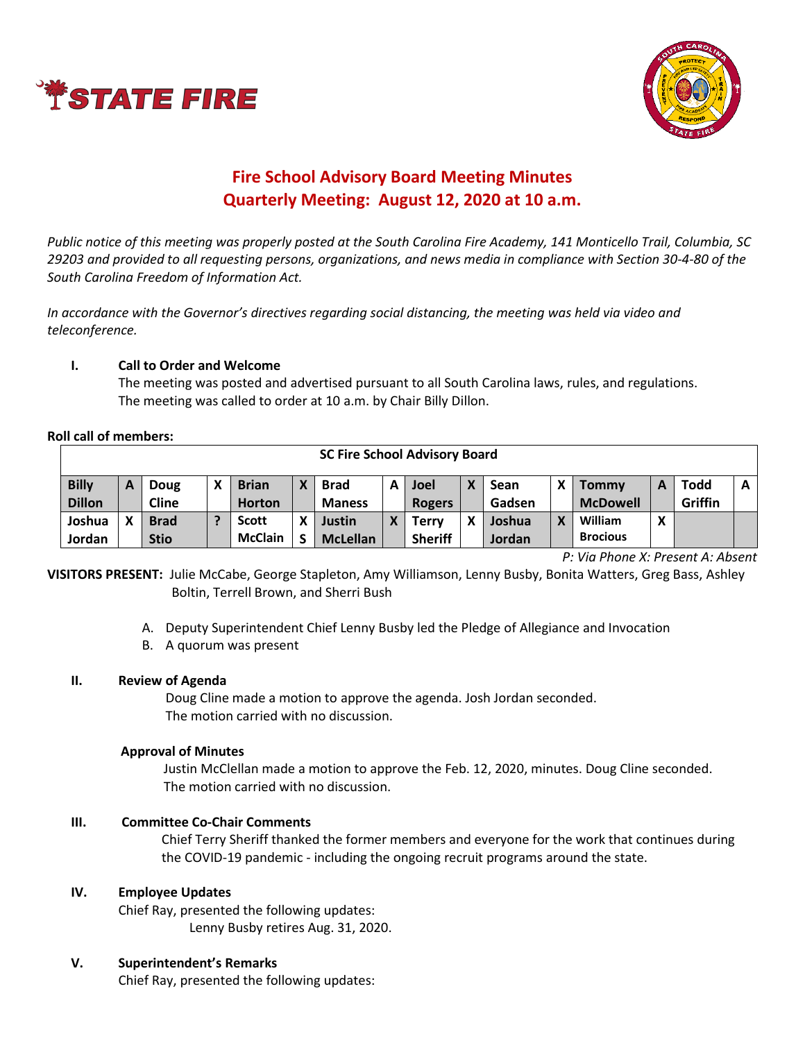



# **Fire School Advisory Board Meeting Minutes Quarterly Meeting: August 12, 2020 at 10 a.m.**

*Public notice of this meeting was properly posted at the South Carolina Fire Academy, 141 Monticello Trail, Columbia, SC 29203 and provided to all requesting persons, organizations, and news media in compliance with Section 30-4-80 of the South Carolina Freedom of Information Act.* 

*In accordance with the Governor's directives regarding social distancing, the meeting was held via video and teleconference.*

## **I. Call to Order and Welcome**

The meeting was posted and advertised pursuant to all South Carolina laws, rules, and regulations. The meeting was called to order at 10 a.m. by Chair Billy Dillon.

#### **Roll call of members:**

| <b>SC Fire School Advisory Board</b> |   |              |  |                |   |                 |   |                |   |        |   |                 |   |             |              |
|--------------------------------------|---|--------------|--|----------------|---|-----------------|---|----------------|---|--------|---|-----------------|---|-------------|--------------|
| <b>Billy</b>                         | A | Doug         |  | <b>Brian</b>   | X | <b>Brad</b>     | А | <b>Joel</b>    | X | Sean   | X | <b>Tommy</b>    | А | <b>Todd</b> | $\mathsf{A}$ |
| <b>Dillon</b>                        |   | <b>Cline</b> |  | <b>Horton</b>  |   | <b>Maness</b>   |   | <b>Rogers</b>  |   | Gadsen |   | <b>McDowell</b> |   | Griffin     |              |
| Joshua                               |   | <b>Brad</b>  |  | <b>Scott</b>   | X | <b>Justin</b>   | v | Terrv          | χ | Joshua | v | William         | X |             |              |
| Jordan                               |   | <b>Stio</b>  |  | <b>McClain</b> | S | <b>McLellan</b> |   | <b>Sheriff</b> |   | Jordan |   | <b>Brocious</b> |   |             |              |

*P: Via Phone X: Present A: Absent*

**VISITORS PRESENT:** Julie McCabe, George Stapleton, Amy Williamson, Lenny Busby, Bonita Watters, Greg Bass, Ashley Boltin, Terrell Brown, and Sherri Bush

A. Deputy Superintendent Chief Lenny Busby led the Pledge of Allegiance and Invocation

B. A quorum was present

#### **II. Review of Agenda**

Doug Cline made a motion to approve the agenda. Josh Jordan seconded. The motion carried with no discussion.

#### **Approval of Minutes**

Justin McClellan made a motion to approve the Feb. 12, 2020, minutes. Doug Cline seconded. The motion carried with no discussion.

#### **III. Committee Co-Chair Comments**

Chief Terry Sheriff thanked the former members and everyone for the work that continues during the COVID-19 pandemic - including the ongoing recruit programs around the state.

#### **IV. Employee Updates**

Chief Ray, presented the following updates: Lenny Busby retires Aug. 31, 2020.

#### **V. Superintendent's Remarks**

Chief Ray, presented the following updates: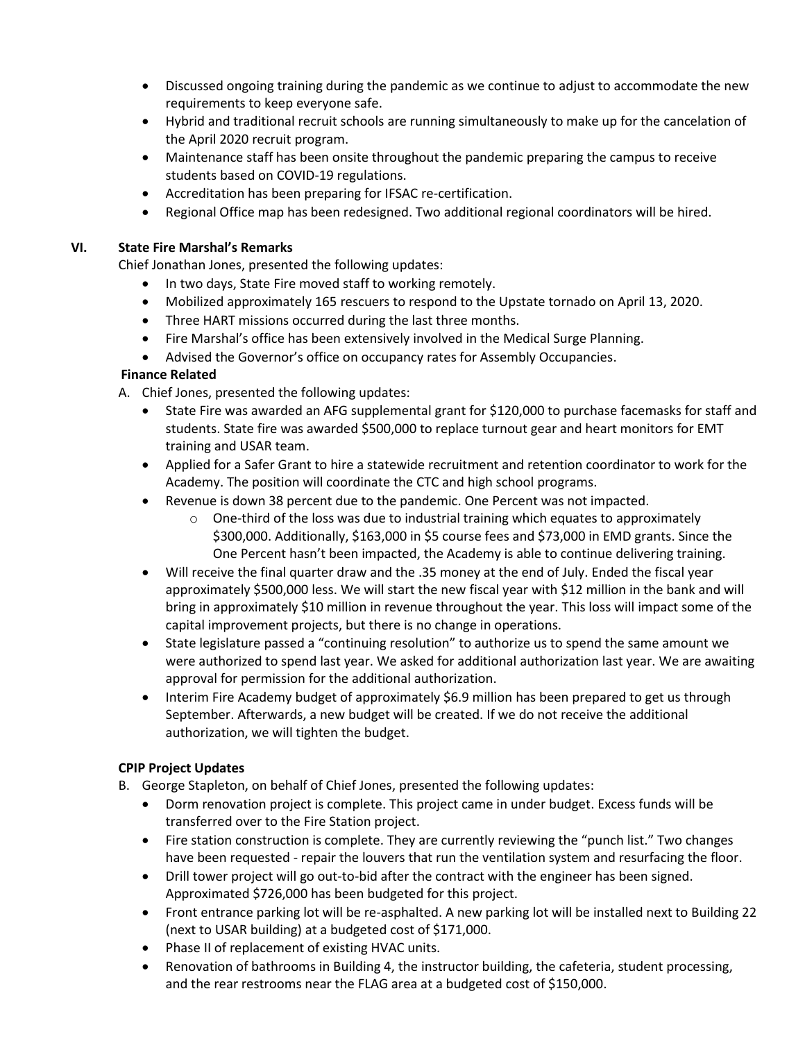- Discussed ongoing training during the pandemic as we continue to adjust to accommodate the new requirements to keep everyone safe.
- Hybrid and traditional recruit schools are running simultaneously to make up for the cancelation of the April 2020 recruit program.
- Maintenance staff has been onsite throughout the pandemic preparing the campus to receive students based on COVID-19 regulations.
- Accreditation has been preparing for IFSAC re-certification.
- Regional Office map has been redesigned. Two additional regional coordinators will be hired.

## **VI. State Fire Marshal's Remarks**

Chief Jonathan Jones, presented the following updates:

- In two days, State Fire moved staff to working remotely.
- Mobilized approximately 165 rescuers to respond to the Upstate tornado on April 13, 2020.
- Three HART missions occurred during the last three months.
- Fire Marshal's office has been extensively involved in the Medical Surge Planning.
- Advised the Governor's office on occupancy rates for Assembly Occupancies.

# **Finance Related**

- A. Chief Jones, presented the following updates:
	- State Fire was awarded an AFG supplemental grant for \$120,000 to purchase facemasks for staff and students. State fire was awarded \$500,000 to replace turnout gear and heart monitors for EMT training and USAR team.
	- Applied for a Safer Grant to hire a statewide recruitment and retention coordinator to work for the Academy. The position will coordinate the CTC and high school programs.
	- Revenue is down 38 percent due to the pandemic. One Percent was not impacted.
		- $\circ$  One-third of the loss was due to industrial training which equates to approximately \$300,000. Additionally, \$163,000 in \$5 course fees and \$73,000 in EMD grants. Since the One Percent hasn't been impacted, the Academy is able to continue delivering training.
	- Will receive the final quarter draw and the .35 money at the end of July. Ended the fiscal year approximately \$500,000 less. We will start the new fiscal year with \$12 million in the bank and will bring in approximately \$10 million in revenue throughout the year. This loss will impact some of the capital improvement projects, but there is no change in operations.
	- State legislature passed a "continuing resolution" to authorize us to spend the same amount we were authorized to spend last year. We asked for additional authorization last year. We are awaiting approval for permission for the additional authorization.
	- Interim Fire Academy budget of approximately \$6.9 million has been prepared to get us through September. Afterwards, a new budget will be created. If we do not receive the additional authorization, we will tighten the budget.

# **CPIP Project Updates**

- B. George Stapleton, on behalf of Chief Jones, presented the following updates:
	- Dorm renovation project is complete. This project came in under budget. Excess funds will be transferred over to the Fire Station project.
	- Fire station construction is complete. They are currently reviewing the "punch list." Two changes have been requested - repair the louvers that run the ventilation system and resurfacing the floor.
	- Drill tower project will go out-to-bid after the contract with the engineer has been signed. Approximated \$726,000 has been budgeted for this project.
	- Front entrance parking lot will be re-asphalted. A new parking lot will be installed next to Building 22 (next to USAR building) at a budgeted cost of \$171,000.
	- Phase II of replacement of existing HVAC units.
	- Renovation of bathrooms in Building 4, the instructor building, the cafeteria, student processing, and the rear restrooms near the FLAG area at a budgeted cost of \$150,000.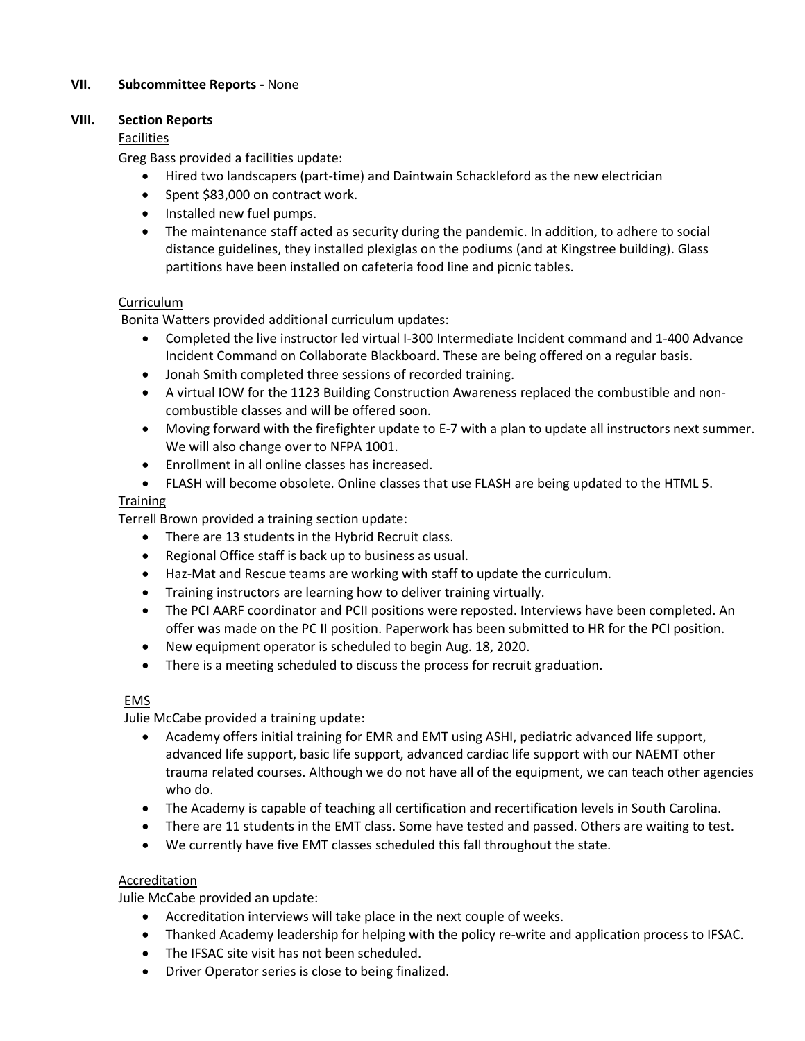### **VII. Subcommittee Reports -** None

#### **VIII. Section Reports**

#### Facilities

Greg Bass provided a facilities update:

- Hired two landscapers (part-time) and Daintwain Schackleford as the new electrician
- Spent \$83,000 on contract work.
- Installed new fuel pumps.
- The maintenance staff acted as security during the pandemic. In addition, to adhere to social distance guidelines, they installed plexiglas on the podiums (and at Kingstree building). Glass partitions have been installed on cafeteria food line and picnic tables.

#### Curriculum

Bonita Watters provided additional curriculum updates:

- Completed the live instructor led virtual I-300 Intermediate Incident command and 1-400 Advance Incident Command on Collaborate Blackboard. These are being offered on a regular basis.
- Jonah Smith completed three sessions of recorded training.
- A virtual IOW for the 1123 Building Construction Awareness replaced the combustible and noncombustible classes and will be offered soon.
- Moving forward with the firefighter update to E-7 with a plan to update all instructors next summer. We will also change over to NFPA 1001.
- Enrollment in all online classes has increased.
- FLASH will become obsolete. Online classes that use FLASH are being updated to the HTML 5.

#### Training

Terrell Brown provided a training section update:

- There are 13 students in the Hybrid Recruit class.
- Regional Office staff is back up to business as usual.
- Haz-Mat and Rescue teams are working with staff to update the curriculum.
- Training instructors are learning how to deliver training virtually.
- The PCI AARF coordinator and PCII positions were reposted. Interviews have been completed. An offer was made on the PC II position. Paperwork has been submitted to HR for the PCI position.
- New equipment operator is scheduled to begin Aug. 18, 2020.
- There is a meeting scheduled to discuss the process for recruit graduation.

#### EMS

Julie McCabe provided a training update:

- Academy offers initial training for EMR and EMT using ASHI, pediatric advanced life support, advanced life support, basic life support, advanced cardiac life support with our NAEMT other trauma related courses. Although we do not have all of the equipment, we can teach other agencies who do.
- The Academy is capable of teaching all certification and recertification levels in South Carolina.
- There are 11 students in the EMT class. Some have tested and passed. Others are waiting to test.
- We currently have five EMT classes scheduled this fall throughout the state.

#### Accreditation

Julie McCabe provided an update:

- Accreditation interviews will take place in the next couple of weeks.
- Thanked Academy leadership for helping with the policy re-write and application process to IFSAC.
- The IFSAC site visit has not been scheduled.
- Driver Operator series is close to being finalized.